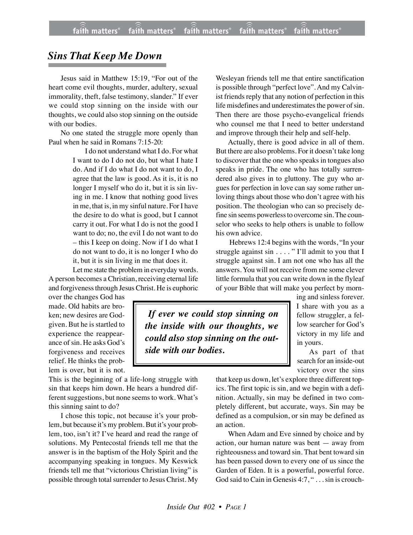## *Sins That Keep Me Down*

Jesus said in Matthew 15:19, "For out of the heart come evil thoughts, murder, adultery, sexual immorality, theft, false testimony, slander." If ever we could stop sinning on the inside with our thoughts, we could also stop sinning on the outside with our bodies.

No one stated the struggle more openly than Paul when he said in Romans 7:15-20:

> I do not understand what I do. For what I want to do I do not do, but what I hate I do. And if I do what I do not want to do, I agree that the law is good. As it is, it is no longer I myself who do it, but it is sin living in me. I know that nothing good lives in me, that is, in my sinful nature. For I have the desire to do what is good, but I cannot carry it out. For what I do is not the good I want to do; no, the evil I do not want to do – this I keep on doing. Now if I do what I do not want to do, it is no longer I who do it, but it is sin living in me that does it.

Let me state the problem in everyday words. A person becomes a Christian, receiving eternal life and forgivenessthrough Jesus Christ. He is euphoric

over the changes God has made. Old habits are broken; new desires are Godgiven. But he is startled to experience the reappearance of sin. He asks God's forgiveness and receives relief. He thinks the problem is over, but it is not.

This is the beginning of a life-long struggle with sin that keeps him down. He hears a hundred different suggestions, but none seems to work. What's this sinning saint to do?

I chose this topic, not because it's your problem, but because it's my problem. But it's your problem, too, isn't it? I've heard and read the range of solutions. My Pentecostal friends tell me that the answer is in the baptism of the Holy Spirit and the accompanying speaking in tongues. My Keswick friends tell me that "victorious Christian living" is possible through total surrender to Jesus Christ. My

Wesleyan friends tell me that entire sanctification is possible through "perfect love". And my Calvinist friends reply that any notion of perfection in this life misdefines and underestimates the power of sin. Then there are those psycho-evangelical friends who counsel me that I need to better understand and improve through their help and self-help.

Actually, there is good advice in all of them. But there are also problems. For it doesn't take long to discover that the one who speaks in tongues also speaks in pride. The one who has totally surrendered also gives in to gluttony. The guy who argues for perfection in love can say some rather unloving things about those who don't agree with his position. The theologian who can so precisely define sin seems powerlessto overcome sin. The counselor who seeks to help others is unable to follow his own advice.

 Hebrews 12:4 begins with the words, "In your struggle against sin . . . . " I'll admit to you that I struggle against sin. I am not one who has all the answers. You will not receive from me some clever little formula that you can write down in the flyleaf of your Bible that will make you perfect by morn-

 *If ever we could stop sinning on the inside with our thoughts, we could also stop sinning on the outside with our bodies.*

ing and sinless forever. I share with you as a fellow struggler, a fellow searcher for God's victory in my life and in yours.

As part of that search for an inside-out victory over the sins

that keep us down, let's explore three different topics. The first topic is sin, and we begin with a definition. Actually, sin may be defined in two completely different, but accurate, ways. Sin may be defined as a compulsion, or sin may be defined as an action.

When Adam and Eve sinned by choice and by action, our human nature was bent — away from righteousness and toward sin. That bent toward sin has been passed down to every one of us since the Garden of Eden. It is a powerful, powerful force. God said to Cain in Genesis 4:7, " . . . sin is crouch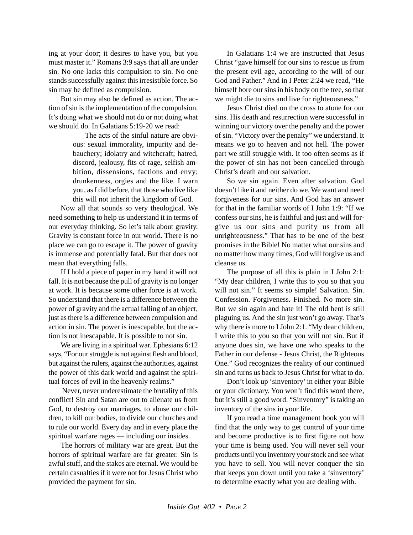ing at your door; it desires to have you, but you must master it." Romans 3:9 says that all are under sin. No one lacks this compulsion to sin. No one stands successfully against this irresistible force. So sin may be defined as compulsion.

But sin may also be defined as action. The action of sin is the implementation of the compulsion. It's doing what we should not do or not doing what we should do. In Galatians 5:19-20 we read:

> The acts of the sinful nature are obvious: sexual immorality, impurity and debauchery; idolatry and witchcraft; hatred, discord, jealousy, fits of rage, selfish ambition, dissensions, factions and envy; drunkenness, orgies and the like. I warn you, as I did before, that those who live like this will not inherit the kingdom of God.

Now all that sounds so very theological. We need something to help us understand it in terms of our everyday thinking. So let's talk about gravity. Gravity is constant force in our world. There is no place we can go to escape it. The power of gravity is immense and potentially fatal. But that does not mean that everything falls.

If I hold a piece of paper in my hand it will not fall. It is not because the pull of gravity is no longer at work. It is because some other force is at work. So understand that there is a difference between the power of gravity and the actual falling of an object, just as there is a difference between compulsion and action in sin. The power is inescapable, but the action is not inescapable. It is possible to not sin.

We are living in a spiritual war. Ephesians 6:12 says, "For our struggle is not against flesh and blood, but against the rulers, against the authorities, against the power of this dark world and against the spiritual forces of evil in the heavenly realms."

 Never, never underestimate the brutality of this conflict! Sin and Satan are out to alienate us from God, to destroy our marriages, to abuse our children, to kill our bodies, to divide our churches and to rule our world. Every day and in every place the spiritual warfare rages — including our insides.

The horrors of military war are great. But the horrors of spiritual warfare are far greater. Sin is awful stuff, and the stakes are eternal. We would be certain casualties if it were not for Jesus Christ who provided the payment for sin.

In Galatians 1:4 we are instructed that Jesus Christ "gave himself for our sins to rescue us from the present evil age, according to the will of our God and Father." And in I Peter 2:24 we read, "He himself bore our sins in his body on the tree, so that we might die to sins and live for righteousness."

Jesus Christ died on the cross to atone for our sins. His death and resurrection were successful in winning our victory over the penalty and the power of sin. "Victory over the penalty" we understand. It means we go to heaven and not hell. The power part we still struggle with. It too often seems as if the power of sin has not been cancelled through Christ's death and our salvation.

So we sin again. Even after salvation. God doesn't like it and neither do we. We want and need forgiveness for our sins. And God has an answer for that in the familiar words of I John 1:9: "If we confess our sins, he is faithful and just and will forgive us our sins and purify us from all unrighteousness." That has to be one of the best promises in the Bible! No matter what our sins and no matter how many times, God will forgive us and cleanse us.

The purpose of all this is plain in I John 2:1: "My dear children, I write this to you so that you will not sin." It seems so simple! Salvation. Sin. Confession. Forgiveness. Finished. No more sin. But we sin again and hate it! The old bent is still plaguing us. And the sin just won't go away. That's why there is more to I John 2:1. "My dear children, I write this to you so that you will not sin. But if anyone does sin, we have one who speaks to the Father in our defense - Jesus Christ, the Righteous One." God recognizes the reality of our continued sin and turns us back to Jesus Christ for what to do.

Don't look up 'sinventory' in either your Bible or your dictionary. You won't find this word there, but it's still a good word. "Sinventory" is taking an inventory of the sins in your life.

If you read a time management book you will find that the only way to get control of your time and become productive is to first figure out how your time is being used. You will never sell your products until you inventory your stock and see what you have to sell. You will never conquer the sin that keeps you down until you take a 'sinventory' to determine exactly what you are dealing with.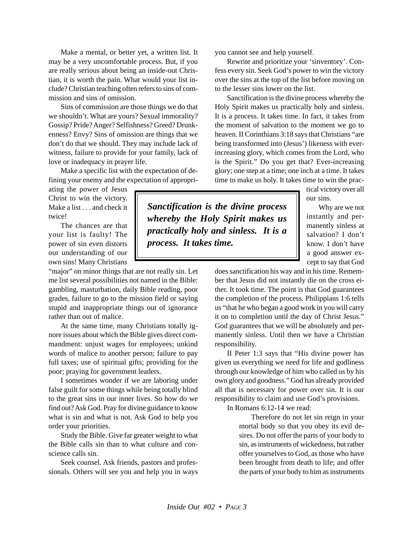Make a mental, or better yet, a written list. It may be a very uncomfortable process. But, if you are really serious about being an inside-out Christian, it is worth the pain. What would your list include? Christian teaching often refers to sins of commission and sins of omission.

Sins of commission are those things we do that we shouldn't. What are yours? Sexual immorality? Gossip? Pride? Anger? Selfishness? Greed? Drunkenness? Envy? Sins of omission are things that we don't do that we should. They may include lack of witness, failure to provide for your family, lack of love or inadequacy in prayer life.

Make a specific list with the expectation of defining your enemy and the expectation of appropri-

ating the power of Jesus Christ to win the victory. Make a list . . . and check it twice!

The chances are that your list is faulty! The power of sin even distorts our understanding of our own sins! Many Christians

"major" on minor things that are not really sin. Let me list several possibilities not named in the Bible: gambling, masturbation, daily Bible reading, poor grades, failure to go to the mission field or saying stupid and inappropriate things out of ignorance rather than out of malice.

At the same time, many Christians totally ignore issues about which the Bible gives direct commandment: unjust wages for employees; unkind words of malice to another person; failure to pay full taxes; use of spiritual gifts; providing for the poor; praying for government leaders.

I sometimes wonder if we are laboring under false guilt for some things while being totally blind to the great sins in our inner lives. So how do we find out? Ask God. Pray for divine guidance to know what is sin and what is not. Ask God to help you order your priorities.

Study the Bible. Give far greater weight to what the Bible calls sin than to what culture and conscience calls sin.

Seek counsel. Ask friends, pastors and professionals. Others will see you and help you in ways you cannot see and help yourself.

Rewrite and prioritize your 'sinventory'. Confess every sin. Seek God's power to win the victory over the sins at the top of the list before moving on to the lesser sins lower on the list.

Sanctification is the divine process whereby the Holy Spirit makes us practically holy and sinless. It is a process. It takes time. In fact, it takes from the moment of salvation to the moment we go to heaven. II Corinthians 3:18 says that Christians "are being transformed into (Jesus') likeness with everincreasing glory, which comes from the Lord, who is the Spirit." Do you get that? Ever-increasing glory; one step at a time; one inch at a time. It takes time to make us holy. It takes time to win the prac-

tical victory over all our sins.

Why are we not instantly and permanently sinless at salvation? I don't know. I don't have a good answer except to say that God

does sanctification his way and in his time. Remember that Jesus did not instantly die on the cross either. It took time. The point is that God guarantees the completion of the process. Philippians 1:6 tells us "that he who began a good work in you will carry it on to completion until the day of Christ Jesus." God guarantees that we will be absolutely and permanently sinless. Until then we have a Christian responsibility.

II Peter 1:3 says that "His divine power has given us everything we need for life and godliness through our knowledge of him who called us by his own glory and goodness." God has already provided all that is necessary for power over sin. It is our responsibility to claim and use God's provisions.

In Romans 6:12-14 we read:

Therefore do not let sin reign in your mortal body so that you obey its evil desires. Do not offer the parts of your body to sin, as instruments of wickedness, but rather offer yourselves to God, as those who have been brought from death to life; and offer the parts of your body to him as instruments

*Sanctification is the divine process whereby the Holy Spirit makes us practically holy and sinless. It is a process. It takes time.*